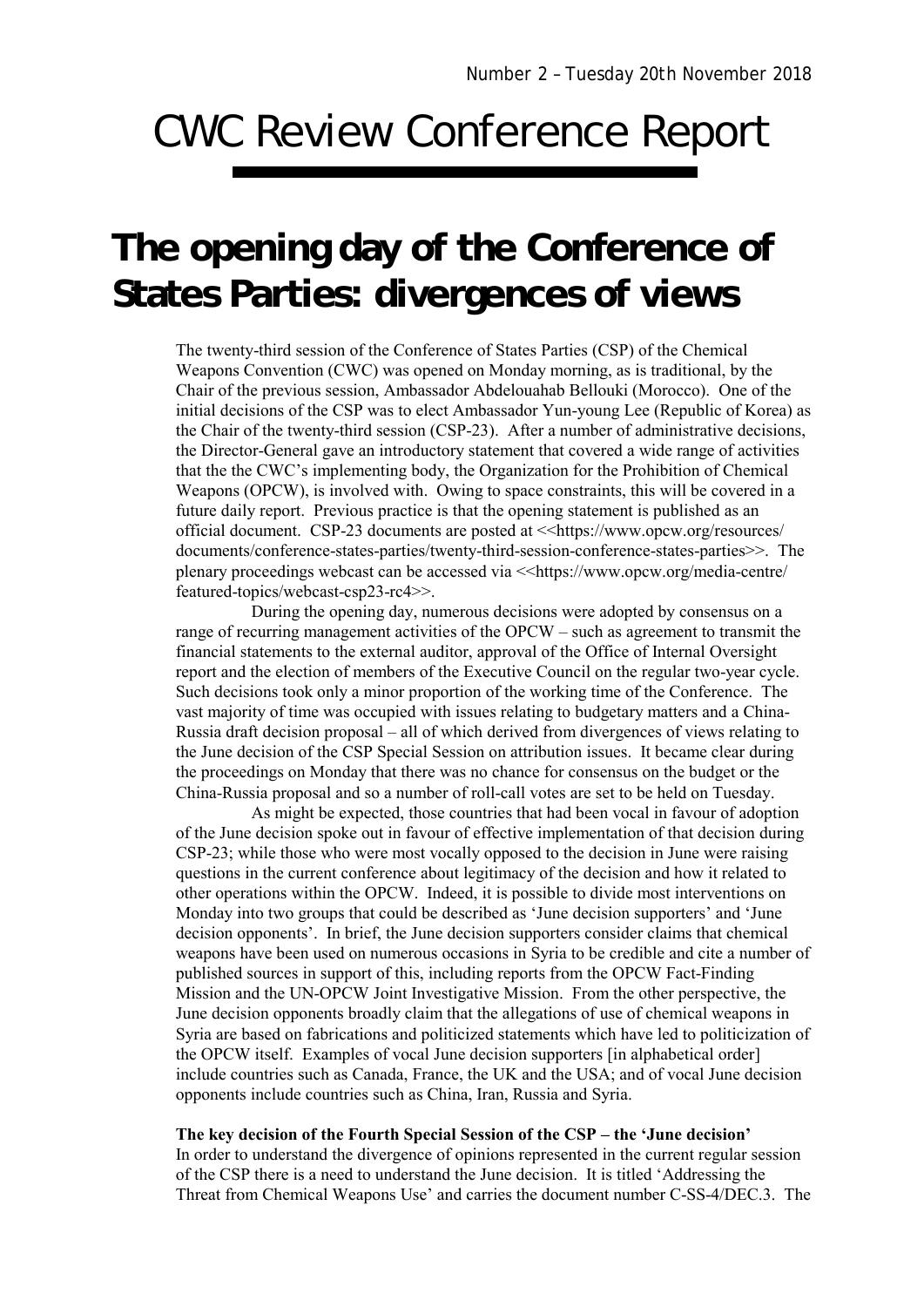# CWC Review Conference Report

# **The opening day of the Conference of States Parties: divergences of views**

The twenty-third session of the Conference of States Parties (CSP) of the Chemical Weapons Convention (CWC) was opened on Monday morning, as is traditional, by the Chair of the previous session, Ambassador Abdelouahab Bellouki (Morocco). One of the initial decisions of the CSP was to elect Ambassador Yun-young Lee (Republic of Korea) as the Chair of the twenty-third session (CSP-23). After a number of administrative decisions, the Director-General gave an introductory statement that covered a wide range of activities that the the CWC's implementing body, the Organization for the Prohibition of Chemical Weapons (OPCW), is involved with. Owing to space constraints, this will be covered in a future daily report. Previous practice is that the opening statement is published as an official document. CSP-23 documents are posted at << https://www.opcw.org/resources/ documents/conference-states-parties/twenty-third-session-conference-states-parties>>. The plenary proceedings webcast can be accessed via <<https://www.opcw.org/media-centre/ featured-topics/webcast-csp23-rc4>>.

During the opening day, numerous decisions were adopted by consensus on a range of recurring management activities of the OPCW – such as agreement to transmit the financial statements to the external auditor, approval of the Office of Internal Oversight report and the election of members of the Executive Council on the regular two-year cycle. Such decisions took only a minor proportion of the working time of the Conference. The vast majority of time was occupied with issues relating to budgetary matters and a China-Russia draft decision proposal – all of which derived from divergences of views relating to the June decision of the CSP Special Session on attribution issues. It became clear during the proceedings on Monday that there was no chance for consensus on the budget or the China-Russia proposal and so a number of roll-call votes are set to be held on Tuesday.

As might be expected, those countries that had been vocal in favour of adoption of the June decision spoke out in favour of effective implementation of that decision during CSP-23; while those who were most vocally opposed to the decision in June were raising questions in the current conference about legitimacy of the decision and how it related to other operations within the OPCW. Indeed, it is possible to divide most interventions on Monday into two groups that could be described as 'June decision supporters' and 'June decision opponents'. In brief, the June decision supporters consider claims that chemical weapons have been used on numerous occasions in Syria to be credible and cite a number of published sources in support of this, including reports from the OPCW Fact-Finding Mission and the UN-OPCW Joint Investigative Mission. From the other perspective, the June decision opponents broadly claim that the allegations of use of chemical weapons in Syria are based on fabrications and politicized statements which have led to politicization of the OPCW itself. Examples of vocal June decision supporters [in alphabetical order] include countries such as Canada, France, the UK and the USA; and of vocal June decision opponents include countries such as China, Iran, Russia and Syria.

## **The key decision of the Fourth Special Session of the CSP – the 'June decision'**

In order to understand the divergence of opinions represented in the current regular session of the CSP there is a need to understand the June decision. It is titled 'Addressing the Threat from Chemical Weapons Use' and carries the document number C-SS-4/DEC.3. The